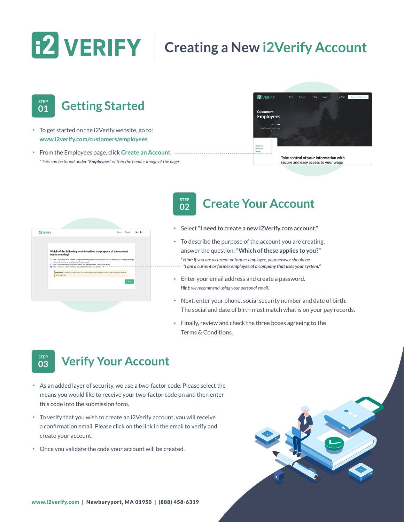# **CONGRIFY** | Creating a New i2Verify Account



- To get started on the i2Verify website, go to: **[www.i2verify.com/customers/employees](https://i2verify.com/customers/employees)**
- From the Employees page, click **[Create an Account.](https://app.i2verify.com/Registration)**  *\* This can be found under "Employees" within the header image of the page.*



| Which of the following best describes the purpose of the account<br>you're creating?                                                                                                                                                                                                                                                                         |
|--------------------------------------------------------------------------------------------------------------------------------------------------------------------------------------------------------------------------------------------------------------------------------------------------------------------------------------------------------------|
| O I am a business such as a lender, background check provider, employer that is hiring an employee, or a property manager<br>that needs to review an employee's verification report.<br>C I am a social service or government agency that needs to review a verification report.<br>I am a current or former employee of a company that uses your system. If |
| Please note: You will be required to confirm your email address every 60 days or upon your next login attempt after the<br>60-day expiration.                                                                                                                                                                                                                |
| Next                                                                                                                                                                                                                                                                                                                                                         |
|                                                                                                                                                                                                                                                                                                                                                              |

### **STEP <sup>02</sup> Create Your Account**

- Select **"I need to create a new i2Verify.com account."**
- To describe the purpose of the account you are creating, answer the question: **"Which of these applies to you?"** *\* Hint: If you are a current or former employee, your answer should be "I am a current or former employee of a company that uses your system."*
- Enter your email address and create a password. *Hint: we recommend using your personal email.*
- Next, enter your phone, social security number and date of birth. The social and date of birth must match what is on your pay records.
- Finally, review and check the three boxes agreeing to the Terms & Conditions.

### **STEP**<br>03 **<sup>03</sup> Verify Your Account**

- As an added layer of security, we use a two-factor code. Please select the means you would like to receive your two-factor code on and then enter this code into the submission form.
- To verify that you wish to create an i2Verify account, you will receive a confirmation email. Please click on the link in the email to verify and create your account.
- Once you validate the code your account will be created.